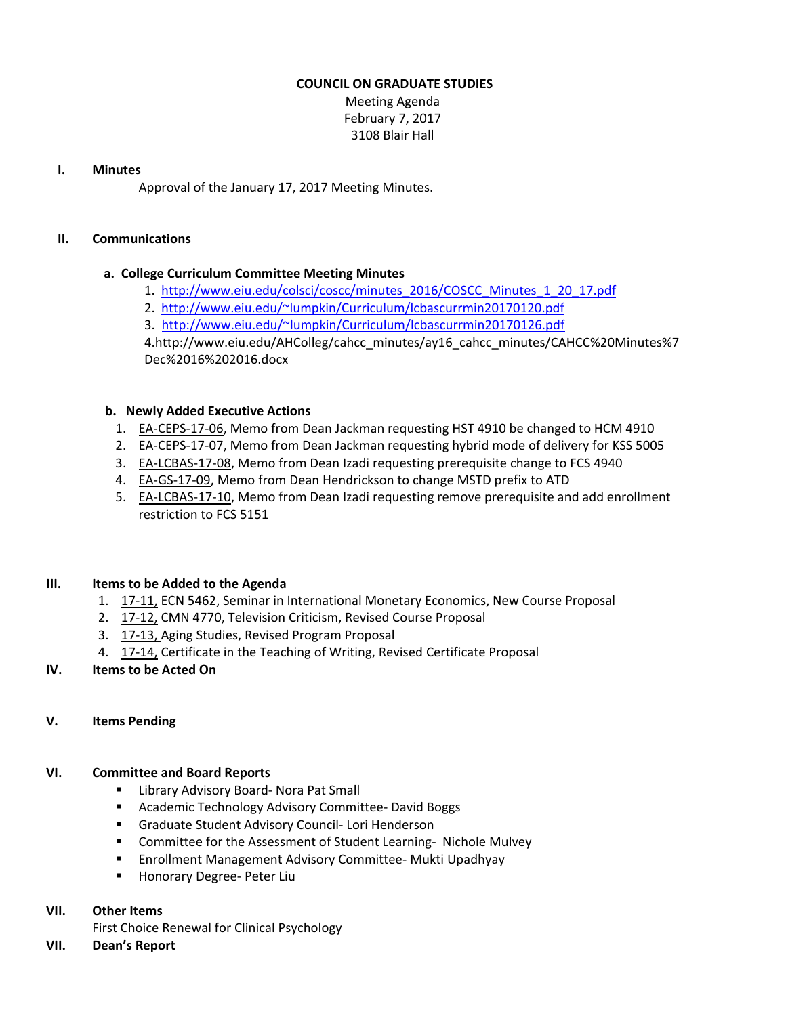### **COUNCIL ON GRADUATE STUDIES**

Meeting Agenda February 7, 2017 3108 Blair Hall

#### **I. Minutes**

Approval of the [January](http://castle.eiu.edu/eiucgs/currentminutes/Minutes1-17-17.pdf) 17, 2017 Meeting Minutes.

#### **II. Communications**

### **a. College Curriculum Committee Meeting Minutes**

- 1. [http://www.eiu.edu/colsci/coscc/minutes\\_2016/COSCC\\_Minutes\\_1\\_20\\_17.pdf](http://www.eiu.edu/colsci/coscc/minutes_2016/COSCC_Minutes_1_20_17.pdf)
- 2. <http://www.eiu.edu/~lumpkin/Curriculum/lcbascurrmin20170120.pdf>
- 3. <http://www.eiu.edu/~lumpkin/Curriculum/lcbascurrmin20170126.pdf>

4.[http://www.eiu.edu/AHColleg/cahcc\\_minutes/ay16\\_cahcc\\_minutes/CAHCC%20Minutes%](http://www.eiu.edu/AHColleg/cahcc_minutes/ay16_cahcc_minutes/CAHCC%20Minutes%7Dec%2016%202016.docx)7 Dec%2016%202016.docx

### **b. Newly Added Executive Actions**

- 1. EA-[CEPS](http://castle.eiu.edu/eiucgs/exec-actions/EA-CEPS-17-06.pdf)-17-06, Memo from Dean Jackman requesting HST 4910 be changed to HCM 4910
- 2. EA‐[CEPS](http://castle.eiu.edu/eiucgs/exec-actions/EA-CEPS-17-07.pdf)‐17‐07, Memo from Dean Jackman requesting hybrid mode of delivery for KSS 5005
- 3. EA‐[LCBAS](http://castle.eiu.edu/eiucgs/exec-actions/EA-LCBAS-17-08.pdf)‐17‐08, Memo from Dean Izadi requesting prerequisite change to FCS 4940
- 4. EA-GS-17-[09,](http://castle.eiu.edu/eiucgs/exec-actions/EA-GS-17-09.pdf) Memo from Dean Hendrickson to change MSTD prefix to ATD
- 5. EA-[LCBAS](http://castle.eiu.edu/eiucgs/exec-actions/EA-LCBAS-17-10.pdf)-17-10, Memo from Dean Izadi requesting remove prerequisite and add enrollment restriction to FCS 5151

### **III. Items to be Added to the Agenda**

- 1. [17](http://castle.eiu.edu/eiucgs/currentagendaitems/agenda17-11.pdf)-11, ECN 5462, Seminar in International Monetary Economics, New Course Proposal
- 2. [17](http://castle.eiu.edu/eiucgs/currentagendaitems/agenda17-12.pdf)‐12, CMN 4770, Television Criticism, Revised Course Proposal
- 3. 17-[13,](http://castle.eiu.edu/eiucgs/currentagendaitems/agenda17-13.pdf) Aging Studies, Revised Program Proposal
- 4. [17](http://castle.eiu.edu/eiucgs/currentagendaitems/agenda17-14.pdf)‐14, Certificate in the Teaching of Writing, Revised Certificate Proposal

# **IV. Items to be Acted On**

# **V. Items Pending**

# **VI. Committee and Board Reports**

- Library Advisory Board- Nora Pat Small
- Academic Technology Advisory Committee- David Boggs
- Graduate Student Advisory Council- Lori Henderson
- Committee for the Assessment of Student Learning- Nichole Mulvey
- Enrollment Management Advisory Committee‐ Mukti Upadhyay
- Honorary Degree- Peter Liu

### **VII. Other Items**

First Choice Renewal for Clinical Psychology

**VII. Dean's Report**